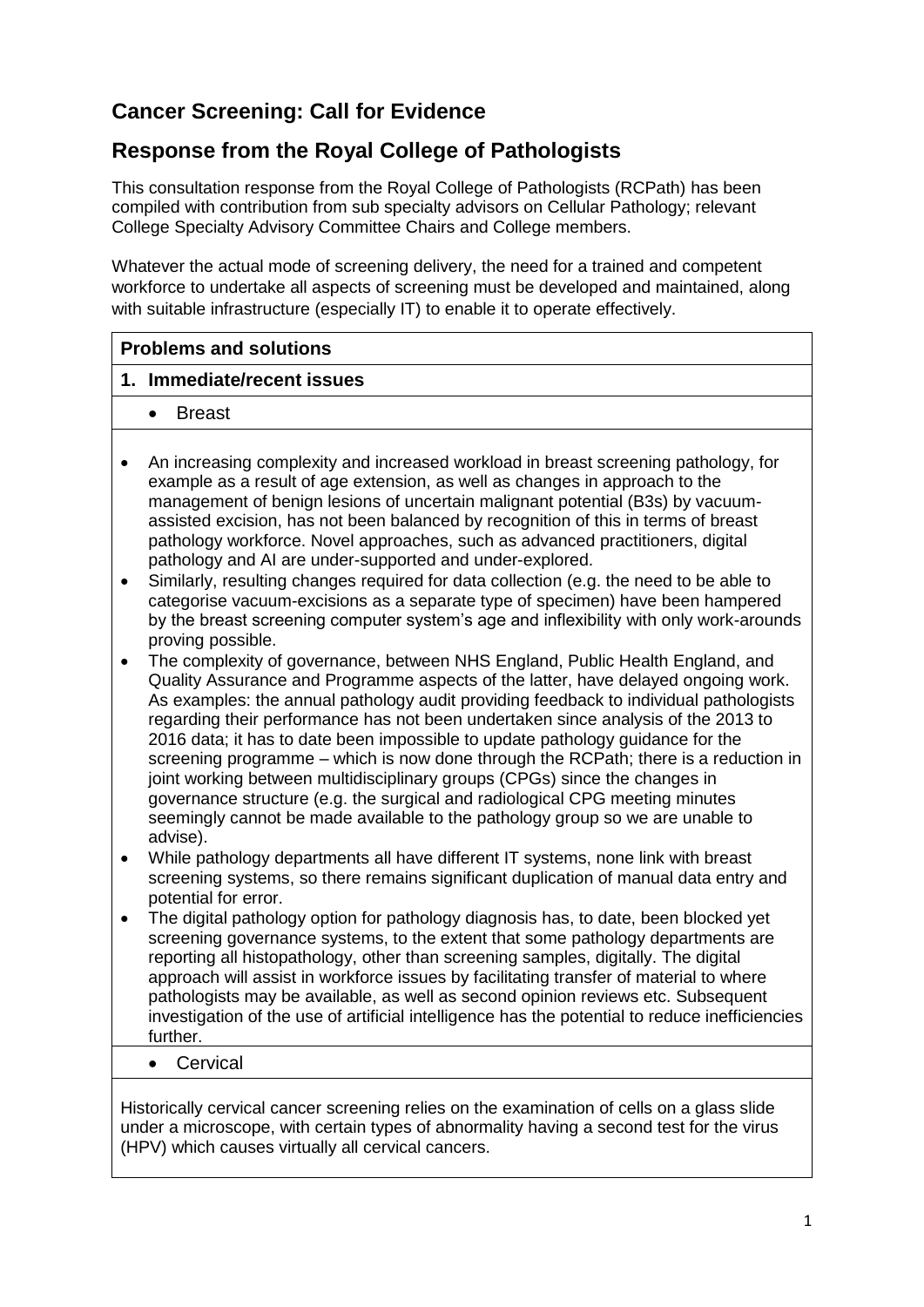# **Cancer Screening: Call for Evidence**

# **Response from the Royal College of Pathologists**

This consultation response from the Royal College of Pathologists (RCPath) has been compiled with contribution from sub specialty advisors on Cellular Pathology; relevant College Specialty Advisory Committee Chairs and College members.

Whatever the actual mode of screening delivery, the need for a trained and competent workforce to undertake all aspects of screening must be developed and maintained, along with suitable infrastructure (especially IT) to enable it to operate effectively.

## **Problems and solutions**

### **1. Immediate/recent issues**

- Breast
- An increasing complexity and increased workload in breast screening pathology, for example as a result of age extension, as well as changes in approach to the management of benign lesions of uncertain malignant potential (B3s) by vacuumassisted excision, has not been balanced by recognition of this in terms of breast pathology workforce. Novel approaches, such as advanced practitioners, digital pathology and AI are under-supported and under-explored.
- Similarly, resulting changes required for data collection (e.g. the need to be able to categorise vacuum-excisions as a separate type of specimen) have been hampered by the breast screening computer system's age and inflexibility with only work-arounds proving possible.
- The complexity of governance, between NHS England, Public Health England, and Quality Assurance and Programme aspects of the latter, have delayed ongoing work. As examples: the annual pathology audit providing feedback to individual pathologists regarding their performance has not been undertaken since analysis of the 2013 to 2016 data; it has to date been impossible to update pathology guidance for the screening programme – which is now done through the RCPath; there is a reduction in joint working between multidisciplinary groups (CPGs) since the changes in governance structure (e.g. the surgical and radiological CPG meeting minutes seemingly cannot be made available to the pathology group so we are unable to advise).
- While pathology departments all have different IT systems, none link with breast screening systems, so there remains significant duplication of manual data entry and potential for error.
- The digital pathology option for pathology diagnosis has, to date, been blocked yet screening governance systems, to the extent that some pathology departments are reporting all histopathology, other than screening samples, digitally. The digital approach will assist in workforce issues by facilitating transfer of material to where pathologists may be available, as well as second opinion reviews etc. Subsequent investigation of the use of artificial intelligence has the potential to reduce inefficiencies further.
	- Cervical

Historically cervical cancer screening relies on the examination of cells on a glass slide under a microscope, with certain types of abnormality having a second test for the virus (HPV) which causes virtually all cervical cancers.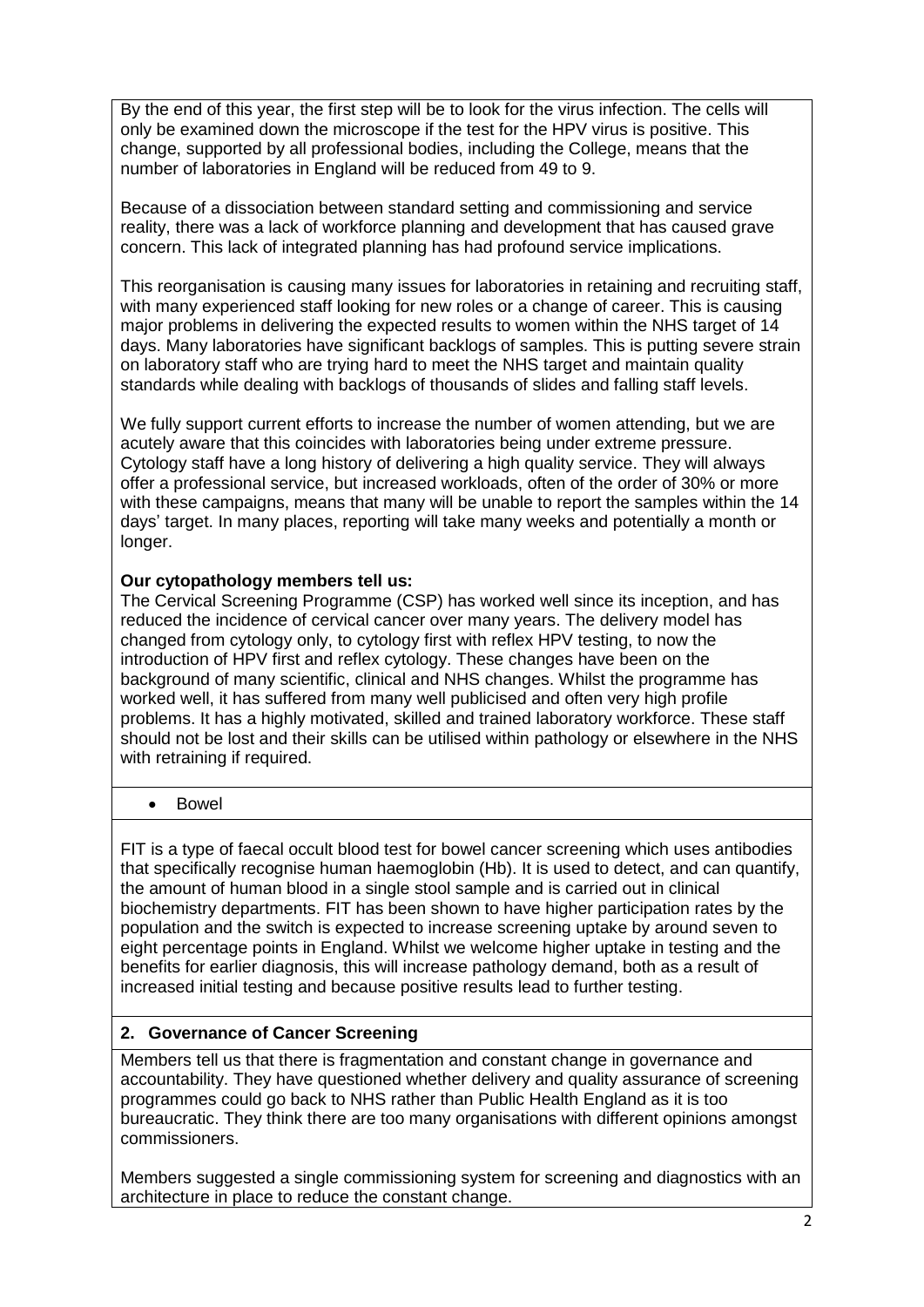By the end of this year, the first step will be to look for the virus infection. The cells will only be examined down the microscope if the test for the HPV virus is positive. This change, supported by all professional bodies, including the College, means that the number of laboratories in England will be reduced from 49 to 9.

Because of a dissociation between standard setting and commissioning and service reality, there was a lack of workforce planning and development that has caused grave concern. This lack of integrated planning has had profound service implications.

This reorganisation is causing many issues for laboratories in retaining and recruiting staff, with many experienced staff looking for new roles or a change of career. This is causing major problems in delivering the expected results to women within the NHS target of 14 days. Many laboratories have significant backlogs of samples. This is putting severe strain on laboratory staff who are trying hard to meet the NHS target and maintain quality standards while dealing with backlogs of thousands of slides and falling staff levels.

We fully support current efforts to increase the number of women attending, but we are acutely aware that this coincides with laboratories being under extreme pressure. Cytology staff have a long history of delivering a high quality service. They will always offer a professional service, but increased workloads, often of the order of 30% or more with these campaigns, means that many will be unable to report the samples within the 14 days' target. In many places, reporting will take many weeks and potentially a month or longer.

### **Our cytopathology members tell us:**

The Cervical Screening Programme (CSP) has worked well since its inception, and has reduced the incidence of cervical cancer over many years. The delivery model has changed from cytology only, to cytology first with reflex HPV testing, to now the introduction of HPV first and reflex cytology. These changes have been on the background of many scientific, clinical and NHS changes. Whilst the programme has worked well, it has suffered from many well publicised and often very high profile problems. It has a highly motivated, skilled and trained laboratory workforce. These staff should not be lost and their skills can be utilised within pathology or elsewhere in the NHS with retraining if required.

• Bowel

FIT is a type of faecal occult blood test for bowel cancer screening which uses antibodies that specifically recognise human haemoglobin (Hb). It is used to detect, and can quantify, the amount of human blood in a single stool sample and is carried out in clinical biochemistry departments. FIT has been shown to have higher participation rates by the population and the switch is expected to increase screening uptake by around seven to eight percentage points in England. Whilst we welcome higher uptake in testing and the benefits for earlier diagnosis, this will increase pathology demand, both as a result of increased initial testing and because positive results lead to further testing.

## **2. Governance of Cancer Screening**

Members tell us that there is fragmentation and constant change in governance and accountability. They have questioned whether delivery and quality assurance of screening programmes could go back to NHS rather than Public Health England as it is too bureaucratic. They think there are too many organisations with different opinions amongst commissioners.

Members suggested a single commissioning system for screening and diagnostics with an architecture in place to reduce the constant change.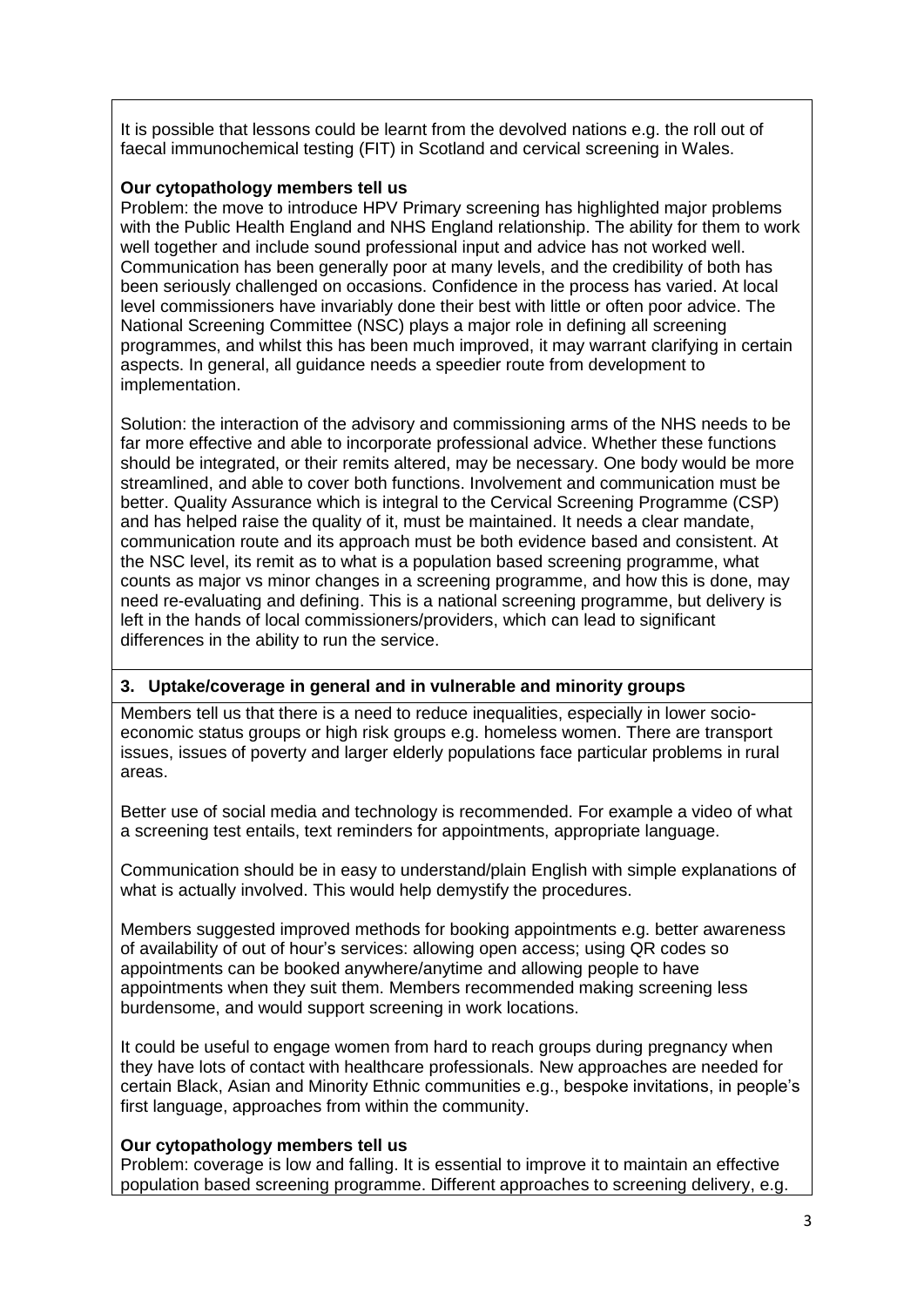It is possible that lessons could be learnt from the devolved nations e.g. the roll out of faecal immunochemical testing (FIT) in Scotland and cervical screening in Wales.

#### **Our cytopathology members tell us**

Problem: the move to introduce HPV Primary screening has highlighted major problems with the Public Health England and NHS England relationship. The ability for them to work well together and include sound professional input and advice has not worked well. Communication has been generally poor at many levels, and the credibility of both has been seriously challenged on occasions. Confidence in the process has varied. At local level commissioners have invariably done their best with little or often poor advice. The National Screening Committee (NSC) plays a major role in defining all screening programmes, and whilst this has been much improved, it may warrant clarifying in certain aspects. In general, all guidance needs a speedier route from development to implementation.

Solution: the interaction of the advisory and commissioning arms of the NHS needs to be far more effective and able to incorporate professional advice. Whether these functions should be integrated, or their remits altered, may be necessary. One body would be more streamlined, and able to cover both functions. Involvement and communication must be better. Quality Assurance which is integral to the Cervical Screening Programme (CSP) and has helped raise the quality of it, must be maintained. It needs a clear mandate, communication route and its approach must be both evidence based and consistent. At the NSC level, its remit as to what is a population based screening programme, what counts as major vs minor changes in a screening programme, and how this is done, may need re-evaluating and defining. This is a national screening programme, but delivery is left in the hands of local commissioners/providers, which can lead to significant differences in the ability to run the service.

### **3. Uptake/coverage in general and in vulnerable and minority groups**

Members tell us that there is a need to reduce inequalities, especially in lower socioeconomic status groups or high risk groups e.g. homeless women. There are transport issues, issues of poverty and larger elderly populations face particular problems in rural areas.

Better use of social media and technology is recommended. For example a video of what a screening test entails, text reminders for appointments, appropriate language.

Communication should be in easy to understand/plain English with simple explanations of what is actually involved. This would help demystify the procedures.

Members suggested improved methods for booking appointments e.g. better awareness of availability of out of hour's services: allowing open access; using QR codes so appointments can be booked anywhere/anytime and allowing people to have appointments when they suit them. Members recommended making screening less burdensome, and would support screening in work locations.

It could be useful to engage women from hard to reach groups during pregnancy when they have lots of contact with healthcare professionals. New approaches are needed for certain Black, Asian and Minority Ethnic communities e.g., bespoke invitations, in people's first language, approaches from within the community.

### **Our cytopathology members tell us**

Problem: coverage is low and falling. It is essential to improve it to maintain an effective population based screening programme. Different approaches to screening delivery, e.g.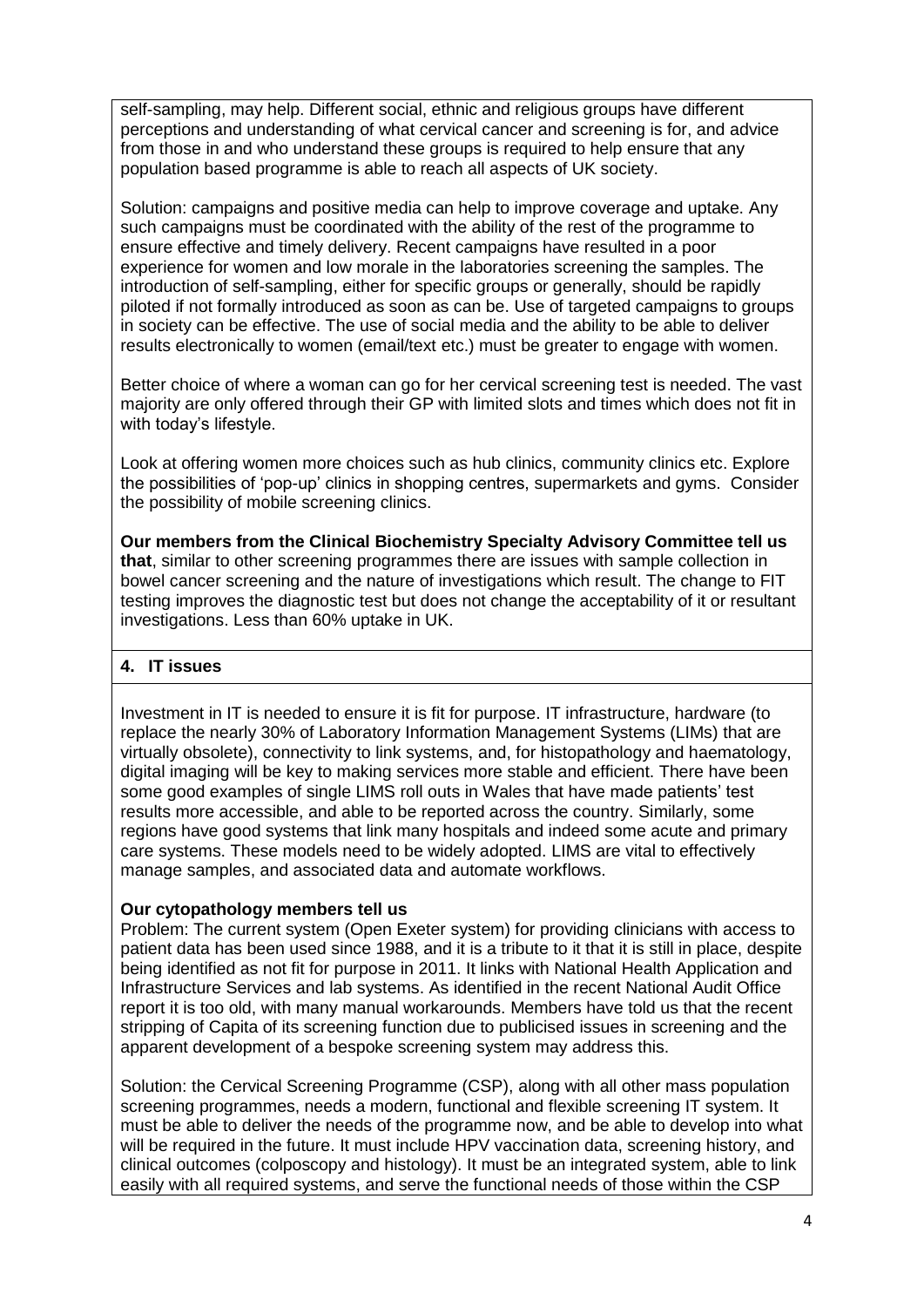self-sampling, may help. Different social, ethnic and religious groups have different perceptions and understanding of what cervical cancer and screening is for, and advice from those in and who understand these groups is required to help ensure that any population based programme is able to reach all aspects of UK society.

Solution: campaigns and positive media can help to improve coverage and uptake. Any such campaigns must be coordinated with the ability of the rest of the programme to ensure effective and timely delivery. Recent campaigns have resulted in a poor experience for women and low morale in the laboratories screening the samples. The introduction of self-sampling, either for specific groups or generally, should be rapidly piloted if not formally introduced as soon as can be. Use of targeted campaigns to groups in society can be effective. The use of social media and the ability to be able to deliver results electronically to women (email/text etc.) must be greater to engage with women.

Better choice of where a woman can go for her cervical screening test is needed. The vast majority are only offered through their GP with limited slots and times which does not fit in with today's lifestyle.

Look at offering women more choices such as hub clinics, community clinics etc. Explore the possibilities of 'pop-up' clinics in shopping centres, supermarkets and gyms. Consider the possibility of mobile screening clinics.

**Our members from the Clinical Biochemistry Specialty Advisory Committee tell us that**, similar to other screening programmes there are issues with sample collection in bowel cancer screening and the nature of investigations which result. The change to FIT testing improves the diagnostic test but does not change the acceptability of it or resultant investigations. Less than 60% uptake in UK.

#### **4. IT issues**

Investment in IT is needed to ensure it is fit for purpose. IT infrastructure, hardware (to replace the nearly 30% of Laboratory Information Management Systems (LIMs) that are virtually obsolete), connectivity to link systems, and, for histopathology and haematology, digital imaging will be key to making services more stable and efficient. There have been some good examples of single LIMS roll outs in Wales that have made patients' test results more accessible, and able to be reported across the country. Similarly, some regions have good systems that link many hospitals and indeed some acute and primary care systems. These models need to be widely adopted. LIMS are vital to effectively manage samples, and associated data and automate workflows.

#### **Our cytopathology members tell us**

Problem: The current system (Open Exeter system) for providing clinicians with access to patient data has been used since 1988, and it is a tribute to it that it is still in place, despite being identified as not fit for purpose in 2011. It links with National Health Application and Infrastructure Services and lab systems. As identified in the recent National Audit Office report it is too old, with many manual workarounds. Members have told us that the recent stripping of Capita of its screening function due to publicised issues in screening and the apparent development of a bespoke screening system may address this.

Solution: the Cervical Screening Programme (CSP), along with all other mass population screening programmes, needs a modern, functional and flexible screening IT system. It must be able to deliver the needs of the programme now, and be able to develop into what will be required in the future. It must include HPV vaccination data, screening history, and clinical outcomes (colposcopy and histology). It must be an integrated system, able to link easily with all required systems, and serve the functional needs of those within the CSP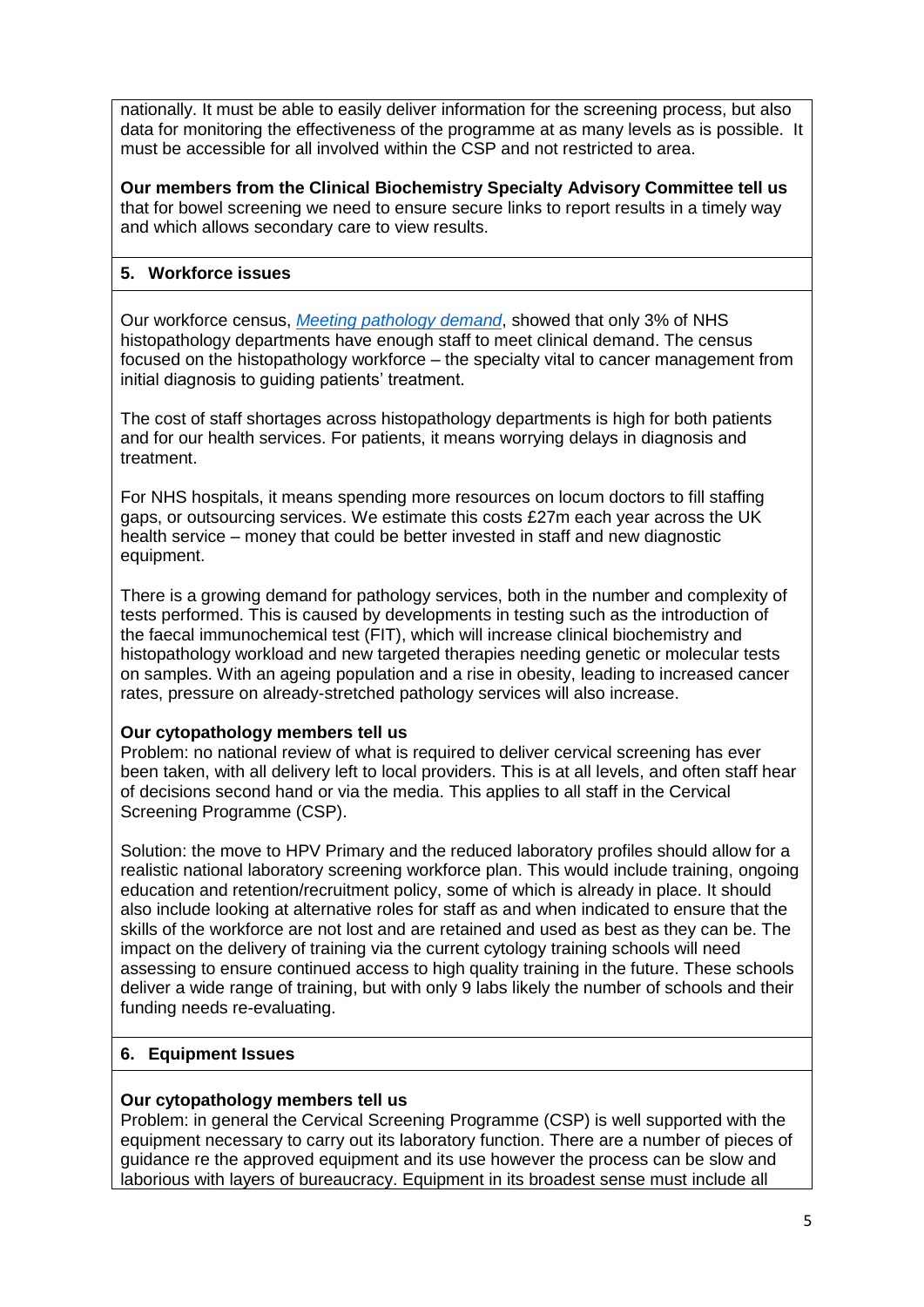nationally. It must be able to easily deliver information for the screening process, but also data for monitoring the effectiveness of the programme at as many levels as is possible. It must be accessible for all involved within the CSP and not restricted to area.

**Our members from the Clinical Biochemistry Specialty Advisory Committee tell us** that for bowel screening we need to ensure secure links to report results in a timely way and which allows secondary care to view results.

## **5. Workforce issues**

Our workforce census, *[Meeting pathology demand](https://www.rcpath.org/uploads/assets/uploaded/aff26c51-8b62-463f-98625b1d3f6174b6.pdf)*, showed that only 3% of NHS histopathology departments have enough staff to meet clinical demand. The census focused on the histopathology workforce – the specialty vital to cancer management from initial diagnosis to guiding patients' treatment.

The cost of staff shortages across histopathology departments is high for both patients and for our health services. For patients, it means worrying delays in diagnosis and treatment.

For NHS hospitals, it means spending more resources on locum doctors to fill staffing gaps, or outsourcing services. We estimate this costs £27m each year across the UK health service – money that could be better invested in staff and new diagnostic equipment.

There is a growing demand for pathology services, both in the number and complexity of tests performed. This is caused by developments in testing such as the introduction of the [faecal immunochemical test \(FIT\),](http://www.cancerresearchuk.org/health-professional/screening/bowel-screening-evidence-and-resources/faecal-immunochemical-test-fit) which will increase clinical biochemistry and histopathology workload and new targeted therapies needing genetic or molecular tests on samples. With an ageing population and a rise in obesity, leading to increased cancer rates, pressure on already-stretched pathology services will also increase.

### **Our cytopathology members tell us**

Problem: no national review of what is required to deliver cervical screening has ever been taken, with all delivery left to local providers. This is at all levels, and often staff hear of decisions second hand or via the media. This applies to all staff in the Cervical Screening Programme (CSP).

Solution: the move to HPV Primary and the reduced laboratory profiles should allow for a realistic national laboratory screening workforce plan. This would include training, ongoing education and retention/recruitment policy, some of which is already in place. It should also include looking at alternative roles for staff as and when indicated to ensure that the skills of the workforce are not lost and are retained and used as best as they can be. The impact on the delivery of training via the current cytology training schools will need assessing to ensure continued access to high quality training in the future. These schools deliver a wide range of training, but with only 9 labs likely the number of schools and their funding needs re-evaluating.

### **6. Equipment Issues**

### **Our cytopathology members tell us**

Problem: in general the Cervical Screening Programme (CSP) is well supported with the equipment necessary to carry out its laboratory function. There are a number of pieces of guidance re the approved equipment and its use however the process can be slow and laborious with layers of bureaucracy. Equipment in its broadest sense must include all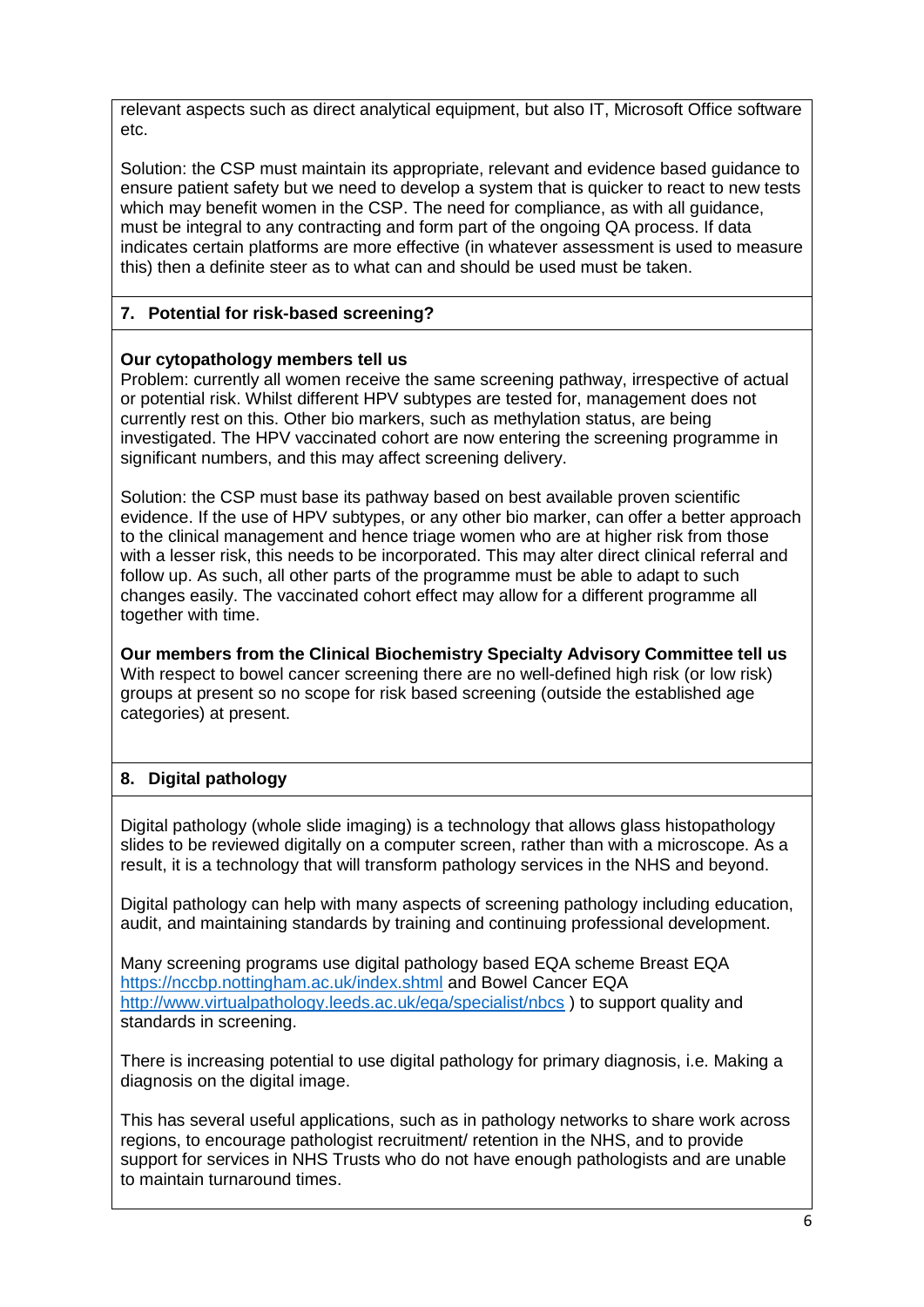relevant aspects such as direct analytical equipment, but also IT. Microsoft Office software etc.

Solution: the CSP must maintain its appropriate, relevant and evidence based guidance to ensure patient safety but we need to develop a system that is quicker to react to new tests which may benefit women in the CSP. The need for compliance, as with all guidance, must be integral to any contracting and form part of the ongoing QA process. If data indicates certain platforms are more effective (in whatever assessment is used to measure this) then a definite steer as to what can and should be used must be taken.

## **7. Potential for risk-based screening?**

### **Our cytopathology members tell us**

Problem: currently all women receive the same screening pathway, irrespective of actual or potential risk. Whilst different HPV subtypes are tested for, management does not currently rest on this. Other bio markers, such as methylation status, are being investigated. The HPV vaccinated cohort are now entering the screening programme in significant numbers, and this may affect screening delivery.

Solution: the CSP must base its pathway based on best available proven scientific evidence. If the use of HPV subtypes, or any other bio marker, can offer a better approach to the clinical management and hence triage women who are at higher risk from those with a lesser risk, this needs to be incorporated. This may alter direct clinical referral and follow up. As such, all other parts of the programme must be able to adapt to such changes easily. The vaccinated cohort effect may allow for a different programme all together with time.

**Our members from the Clinical Biochemistry Specialty Advisory Committee tell us** With respect to bowel cancer screening there are no well-defined high risk (or low risk) groups at present so no scope for risk based screening (outside the established age categories) at present.

## **8. Digital pathology**

Digital pathology (whole slide imaging) is a technology that allows glass histopathology slides to be reviewed digitally on a computer screen, rather than with a microscope. As a result, it is a technology that will transform pathology services in the NHS and beyond.

Digital pathology can help with many aspects of screening pathology including education, audit, and maintaining standards by training and continuing professional development.

Many screening programs use digital pathology based EQA scheme Breast EQA <https://nccbp.nottingham.ac.uk/index.shtml> and Bowel Cancer EQA <http://www.virtualpathology.leeds.ac.uk/eqa/specialist/nbcs> ) to support quality and standards in screening.

There is increasing potential to use digital pathology for primary diagnosis, i.e. Making a diagnosis on the digital image.

This has several useful applications, such as in pathology networks to share work across regions, to encourage pathologist recruitment/ retention in the NHS, and to provide support for services in NHS Trusts who do not have enough pathologists and are unable to maintain turnaround times.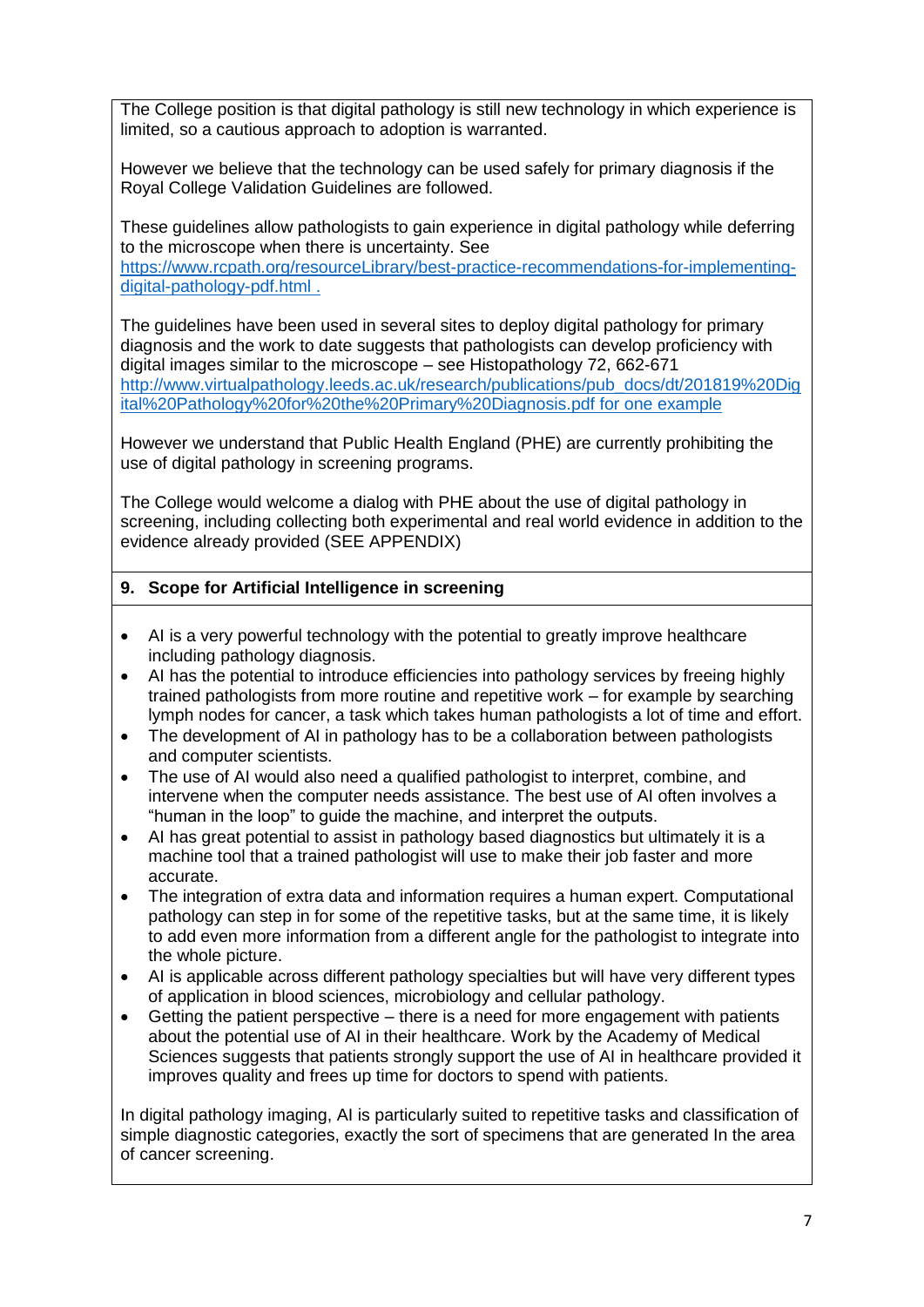The College position is that digital pathology is still new technology in which experience is limited, so a cautious approach to adoption is warranted.

However we believe that the technology can be used safely for primary diagnosis if the Royal College Validation Guidelines are followed.

These guidelines allow pathologists to gain experience in digital pathology while deferring to the microscope when there is uncertainty. See [https://www.rcpath.org/resourceLibrary/best-practice-recommendations-for-implementing](https://www.rcpath.org/resourceLibrary/best-practice-recommendations-for-implementing-digital-pathology-pdf.html)[digital-pathology-pdf.html .](https://www.rcpath.org/resourceLibrary/best-practice-recommendations-for-implementing-digital-pathology-pdf.html)

The guidelines have been used in several sites to deploy digital pathology for primary diagnosis and the work to date suggests that pathologists can develop proficiency with digital images similar to the microscope – see Histopathology 72, 662-671 [http://www.virtualpathology.leeds.ac.uk/research/publications/pub\\_docs/dt/201819%20Dig](http://www.virtualpathology.leeds.ac.uk/research/publications/pub_docs/dt/201819%20Digital%20Pathology%20for%20the%20Primary%20Diagnosis.pdf) [ital%20Pathology%20for%20the%20Primary%20Diagnosis.pdf for one example](http://www.virtualpathology.leeds.ac.uk/research/publications/pub_docs/dt/201819%20Digital%20Pathology%20for%20the%20Primary%20Diagnosis.pdf)

However we understand that Public Health England (PHE) are currently prohibiting the use of digital pathology in screening programs.

The College would welcome a dialog with PHE about the use of digital pathology in screening, including collecting both experimental and real world evidence in addition to the evidence already provided (SEE APPENDIX)

#### **9. Scope for Artificial Intelligence in screening**

- AI is a very powerful technology with the potential to greatly improve healthcare including pathology diagnosis.
- AI has the potential to introduce efficiencies into pathology services by freeing highly trained pathologists from more routine and repetitive work – for example by searching lymph nodes for cancer, a task which takes human pathologists a lot of time and effort.
- The development of AI in pathology has to be a collaboration between pathologists and computer scientists.
- The use of AI would also need a qualified pathologist to interpret, combine, and intervene when the computer needs assistance. The best use of AI often involves a "human in the loop" to guide the machine, and interpret the outputs.
- AI has great potential to assist in pathology based diagnostics but ultimately it is a machine tool that a trained pathologist will use to make their job faster and more accurate.
- The integration of extra data and information requires a human expert. Computational pathology can step in for some of the repetitive tasks, but at the same time, it is likely to add even more information from a different angle for the pathologist to integrate into the whole picture.
- AI is applicable across different pathology specialties but will have very different types of application in blood sciences, microbiology and cellular pathology.
- Getting the patient perspective there is a need for more engagement with patients about the potential use of AI in their healthcare. Work by the Academy of Medical Sciences suggests that patients strongly support the use of AI in healthcare provided it improves quality and frees up time for doctors to spend with patients.

In digital pathology imaging, AI is particularly suited to repetitive tasks and classification of simple diagnostic categories, exactly the sort of specimens that are generated In the area of cancer screening.